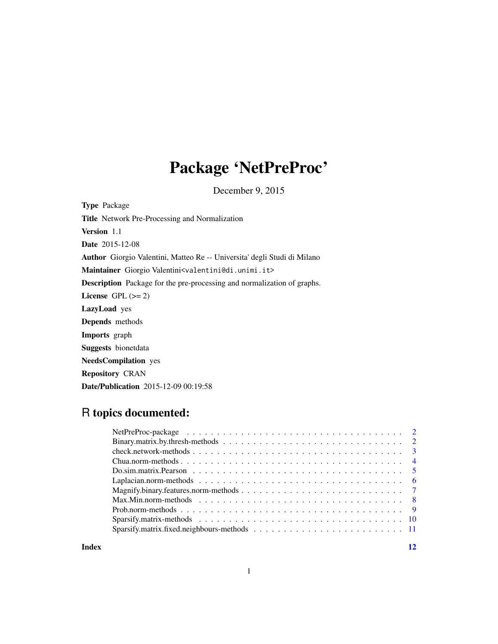# Package 'NetPreProc'

December 9, 2015

<span id="page-0-0"></span>Type Package Title Network Pre-Processing and Normalization Version 1.1 Date 2015-12-08 Author Giorgio Valentini, Matteo Re -- Universita' degli Studi di Milano Maintainer Giorgio Valentini<valentini@di.unimi.it> Description Package for the pre-processing and normalization of graphs. License GPL  $(>= 2)$ LazyLoad yes Depends methods Imports graph Suggests bionetdata NeedsCompilation yes Repository CRAN Date/Publication 2015-12-09 00:19:58

# R topics documented:

**Index** [12](#page-11-0)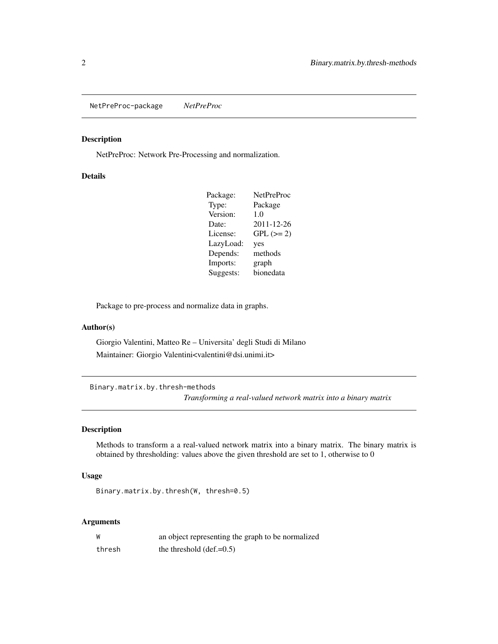<span id="page-1-0"></span>NetPreProc-package *NetPreProc*

# Description

NetPreProc: Network Pre-Processing and normalization.

#### Details

| Package:  | <b>NetPreProc</b> |
|-----------|-------------------|
| Type:     | Package           |
| Version:  | 1.0               |
| Date:     | 2011-12-26        |
| License:  | $GPL (= 2)$       |
| LazyLoad: | yes               |
| Depends:  | methods           |
| Imports:  | graph             |
| Suggests: | bionedata         |

Package to pre-process and normalize data in graphs.

### Author(s)

Giorgio Valentini, Matteo Re – Universita' degli Studi di Milano Maintainer: Giorgio Valentini<valentini@dsi.unimi.it>

Binary.matrix.by.thresh-methods *Transforming a real-valued network matrix into a binary matrix*

#### Description

Methods to transform a a real-valued network matrix into a binary matrix. The binary matrix is obtained by thresholding: values above the given threshold are set to 1, otherwise to 0

#### Usage

```
Binary.matrix.by.thresh(W, thresh=0.5)
```
# Arguments

| W      | an object representing the graph to be normalized |
|--------|---------------------------------------------------|
| thresh | the threshold $(\text{def.}=0.5)$                 |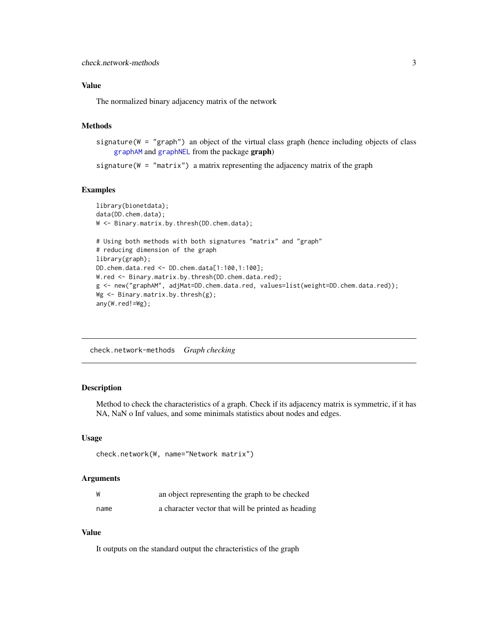# <span id="page-2-0"></span>Value

The normalized binary adjacency matrix of the network

# Methods

signature( $W = "graph")$  an object of the virtual class graph (hence including objects of class [graphAM](#page-0-0) and [graphNEL](#page-0-0) from the package graph)

signature( $W = "matrix"$ ) a matrix representing the adjacency matrix of the graph

#### Examples

```
library(bionetdata);
data(DD.chem.data);
W <- Binary.matrix.by.thresh(DD.chem.data);
# Using both methods with both signatures "matrix" and "graph"
# reducing dimension of the graph
library(graph);
DD.chem.data.red <- DD.chem.data[1:100,1:100];
W.red <- Binary.matrix.by.thresh(DD.chem.data.red);
g <- new("graphAM", adjMat=DD.chem.data.red, values=list(weight=DD.chem.data.red));
Wg <- Binary.matrix.by.thresh(g);
any(W.red!=Wg);
```
check.network-methods *Graph checking*

#### Description

Method to check the characteristics of a graph. Check if its adjacency matrix is symmetric, if it has NA, NaN o Inf values, and some minimals statistics about nodes and edges.

### Usage

```
check.network(W, name="Network matrix")
```
#### Arguments

| W    | an object representing the graph to be checked     |
|------|----------------------------------------------------|
| name | a character vector that will be printed as heading |

# Value

It outputs on the standard output the chracteristics of the graph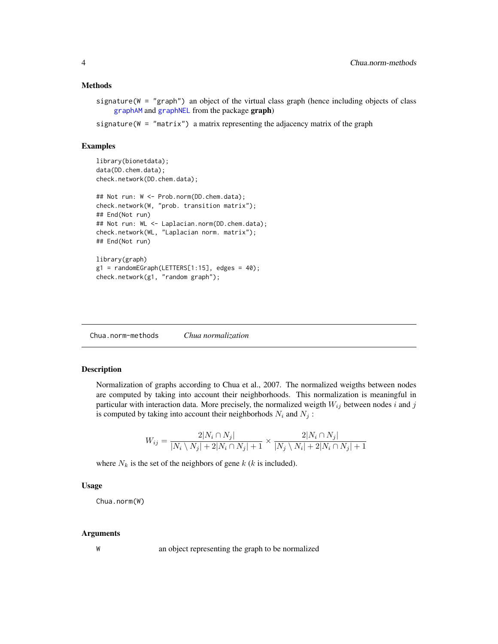#### <span id="page-3-0"></span>Methods

signature( $W = "graph")$  an object of the virtual class graph (hence including objects of class [graphAM](#page-0-0) and [graphNEL](#page-0-0) from the package graph)

signature( $W = "matrix"$ ) a matrix representing the adjacency matrix of the graph

#### Examples

```
library(bionetdata);
data(DD.chem.data);
check.network(DD.chem.data);
## Not run: W <- Prob.norm(DD.chem.data);
check.network(W, "prob. transition matrix");
## End(Not run)
## Not run: WL <- Laplacian.norm(DD.chem.data);
check.network(WL, "Laplacian norm. matrix");
## End(Not run)
library(graph)
g1 = randomEGraph(LETTERS[1:15], edges = 40);
check.network(g1, "random graph");
```
Chua.norm-methods *Chua normalization*

#### Description

Normalization of graphs according to Chua et al., 2007. The normalized weigths between nodes are computed by taking into account their neighborhoods. This normalization is meaningful in particular with interaction data. More precisely, the normalized weigth  $W_{ij}$  between nodes i and j is computed by taking into account their neighborhods  $N_i$  and  $N_j$ :

$$
W_{ij} = \frac{2|N_i \cap N_j|}{|N_i \setminus N_j| + 2|N_i \cap N_j| + 1} \times \frac{2|N_i \cap N_j|}{|N_j \setminus N_i| + 2|N_i \cap N_j| + 1}
$$

where  $N_k$  is the set of the neighbors of gene k (k is included).

#### Usage

Chua.norm(W)

#### Arguments

W an object representing the graph to be normalized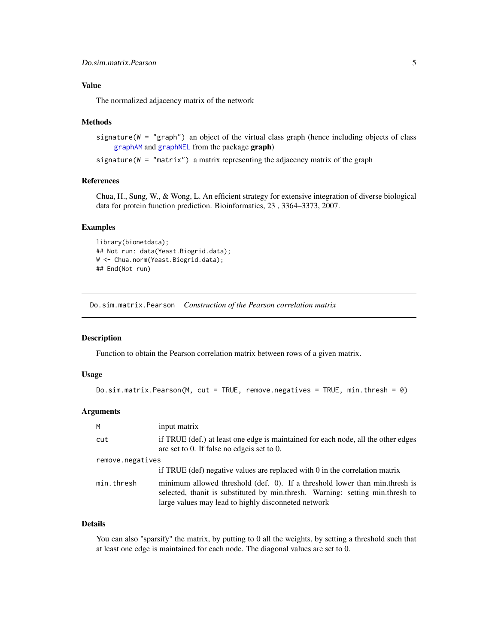# <span id="page-4-0"></span>Value

The normalized adjacency matrix of the network

#### Methods

signature( $W = "graph"$ ) an object of the virtual class graph (hence including objects of class [graphAM](#page-0-0) and [graphNEL](#page-0-0) from the package graph)

signature(W = "matrix") a matrix representing the adjacency matrix of the graph

# References

Chua, H., Sung, W., & Wong, L. An efficient strategy for extensive integration of diverse biological data for protein function prediction. Bioinformatics, 23 , 3364–3373, 2007.

# Examples

```
library(bionetdata);
## Not run: data(Yeast.Biogrid.data);
W <- Chua.norm(Yeast.Biogrid.data);
## End(Not run)
```
Do.sim.matrix.Pearson *Construction of the Pearson correlation matrix*

#### Description

Function to obtain the Pearson correlation matrix between rows of a given matrix.

#### Usage

```
Do.sim.matrix.Pearson(M, cut = TRUE, remove.negatives = TRUE, min.thresh = 0)
```
#### Arguments

| M                | input matrix                                                                                                                                                                                                           |
|------------------|------------------------------------------------------------------------------------------------------------------------------------------------------------------------------------------------------------------------|
| cut              | if TRUE (def.) at least one edge is maintained for each node, all the other edges<br>are set to 0. If false no edge is set to 0.                                                                                       |
| remove.negatives |                                                                                                                                                                                                                        |
|                  | if TRUE (def) negative values are replaced with 0 in the correlation matrix                                                                                                                                            |
| min.thresh       | minimum allowed threshold (def. 0). If a threshold lower than min.thresh is<br>selected, than it is substituted by min. thresh. Warning: setting min. thresh to<br>large values may lead to highly disconneted network |

# Details

You can also "sparsify" the matrix, by putting to 0 all the weights, by setting a threshold such that at least one edge is maintained for each node. The diagonal values are set to 0.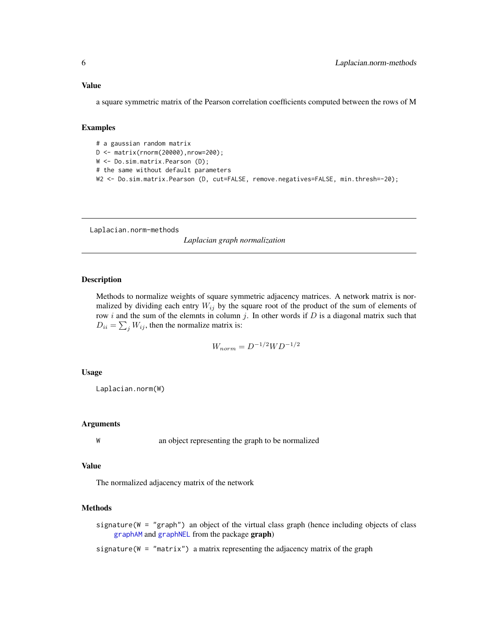#### <span id="page-5-0"></span>Value

a square symmetric matrix of the Pearson correlation coefficients computed between the rows of M

#### Examples

```
# a gaussian random matrix
D <- matrix(rnorm(20000),nrow=200);
W <- Do.sim.matrix.Pearson (D);
# the same without default parameters
W2 <- Do.sim.matrix.Pearson (D, cut=FALSE, remove.negatives=FALSE, min.thresh=-20);
```
Laplacian.norm-methods

*Laplacian graph normalization*

# Description

Methods to normalize weights of square symmetric adjacency matrices. A network matrix is normalized by dividing each entry  $W_{ij}$  by the square root of the product of the sum of elements of row i and the sum of the elemnts in column j. In other words if  $D$  is a diagonal matrix such that  $D_{ii} = \sum_j W_{ij}$ , then the normalize matrix is:

$$
W_{norm} = D^{-1/2} W D^{-1/2}
$$

#### Usage

Laplacian.norm(W)

#### Arguments

W an object representing the graph to be normalized

# Value

The normalized adjacency matrix of the network

# Methods

signature( $W = "graph"$ ) an object of the virtual class graph (hence including objects of class [graphAM](#page-0-0) and [graphNEL](#page-0-0) from the package graph)

signature( $W = "matrix"$ ) a matrix representing the adjacency matrix of the graph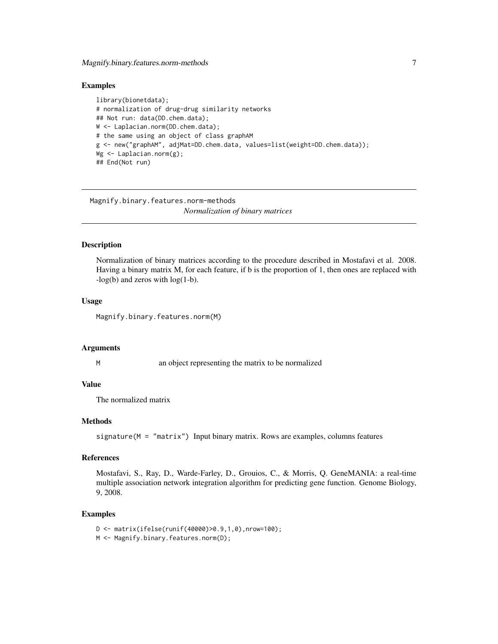#### <span id="page-6-0"></span>Examples

```
library(bionetdata);
# normalization of drug-drug similarity networks
## Not run: data(DD.chem.data);
W <- Laplacian.norm(DD.chem.data);
# the same using an object of class graphAM
g <- new("graphAM", adjMat=DD.chem.data, values=list(weight=DD.chem.data));
Wg <- Laplacian.norm(g);
## End(Not run)
```
Magnify.binary.features.norm-methods *Normalization of binary matrices*

#### Description

Normalization of binary matrices according to the procedure described in Mostafavi et al. 2008. Having a binary matrix M, for each feature, if b is the proportion of 1, then ones are replaced with -log(b) and zeros with log(1-b).

#### Usage

Magnify.binary.features.norm(M)

#### Arguments

M an object representing the matrix to be normalized

# Value

The normalized matrix

# Methods

signature( $M = "matrix"$ ) Input binary matrix. Rows are examples, columns features

#### References

Mostafavi, S., Ray, D., Warde-Farley, D., Grouios, C., & Morris, Q. GeneMANIA: a real-time multiple association network integration algorithm for predicting gene function. Genome Biology, 9, 2008.

```
D <- matrix(ifelse(runif(40000)>0.9,1,0),nrow=100);
M <- Magnify.binary.features.norm(D);
```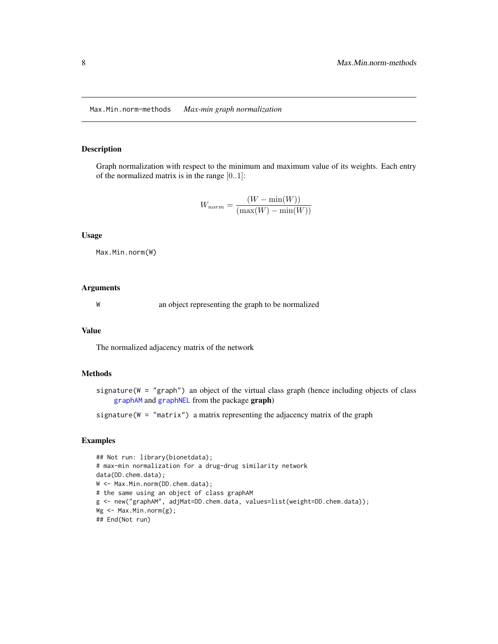<span id="page-7-0"></span>Max.Min.norm-methods *Max-min graph normalization*

#### Description

Graph normalization with respect to the minimum and maximum value of its weights. Each entry of the normalized matrix is in the range  $[0..1]$ :

$$
W_{norm} = \frac{(W - \min(W))}{(\max(W) - \min(W))}
$$

#### Usage

Max.Min.norm(W)

#### Arguments

W an object representing the graph to be normalized

# Value

The normalized adjacency matrix of the network

#### Methods

signature(W = "graph") an object of the virtual class graph (hence including objects of class [graphAM](#page-0-0) and [graphNEL](#page-0-0) from the package graph)

signature( $W = "matrix"$ ) a matrix representing the adjacency matrix of the graph

```
## Not run: library(bionetdata);
# max-min normalization for a drug-drug similarity network
data(DD.chem.data);
W <- Max.Min.norm(DD.chem.data);
# the same using an object of class graphAM
g <- new("graphAM", adjMat=DD.chem.data, values=list(weight=DD.chem.data));
Wg <- Max.Min.norm(g);
## End(Not run)
```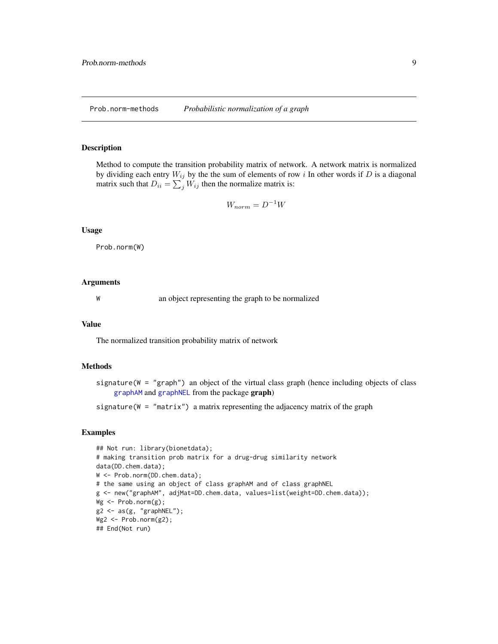<span id="page-8-0"></span>

#### Description

Method to compute the transition probability matrix of network. A network matrix is normalized by dividing each entry  $W_{ij}$  by the the sum of elements of row i In other words if D is a diagonal matrix such that  $D_{ii} = \sum_j W_{ij}$  then the normalize matrix is:

$$
W_{norm} = D^{-1}W
$$

#### Usage

Prob.norm(W)

# Arguments

W an object representing the graph to be normalized

#### Value

The normalized transition probability matrix of network

### Methods

signature(W = "graph") an object of the virtual class graph (hence including objects of class [graphAM](#page-0-0) and [graphNEL](#page-0-0) from the package graph)

signature(W = "matrix") a matrix representing the adjacency matrix of the graph

```
## Not run: library(bionetdata);
# making transition prob matrix for a drug-drug similarity network
data(DD.chem.data);
W <- Prob.norm(DD.chem.data);
# the same using an object of class graphAM and of class graphNEL
g <- new("graphAM", adjMat=DD.chem.data, values=list(weight=DD.chem.data));
Wg \leftarrow \text{Prob.norm}(g);
g2 \leftarrow as(g, "graphNEL");Wg2 <- Prob.norm(g2);
## End(Not run)
```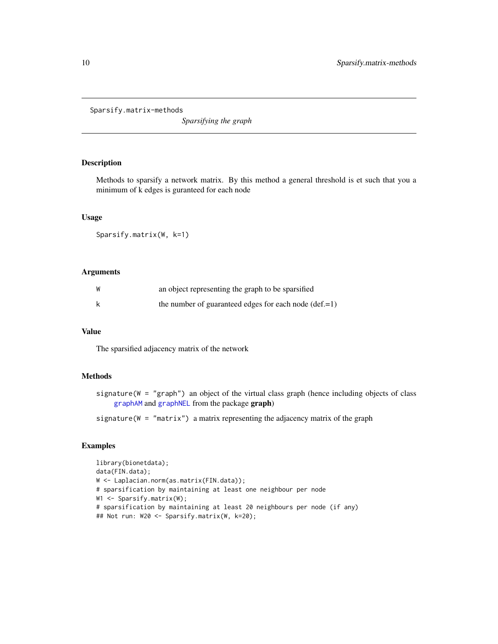<span id="page-9-0"></span>Sparsify.matrix-methods

*Sparsifying the graph*

## Description

Methods to sparsify a network matrix. By this method a general threshold is et such that you a minimum of k edges is guranteed for each node

#### Usage

Sparsify.matrix(W, k=1)

#### Arguments

| W | an object representing the graph to be sparsified              |
|---|----------------------------------------------------------------|
|   | the number of guaranteed edges for each node $(\text{def.}=1)$ |

# Value

The sparsified adjacency matrix of the network

#### Methods

signature(W = "graph") an object of the virtual class graph (hence including objects of class [graphAM](#page-0-0) and [graphNEL](#page-0-0) from the package graph)

signature( $W = "matrix"$ ) a matrix representing the adjacency matrix of the graph

```
library(bionetdata);
data(FIN.data);
W <- Laplacian.norm(as.matrix(FIN.data));
# sparsification by maintaining at least one neighbour per node
W1 <- Sparsify.matrix(W);
# sparsification by maintaining at least 20 neighbours per node (if any)
## Not run: W20 <- Sparsify.matrix(W, k=20);
```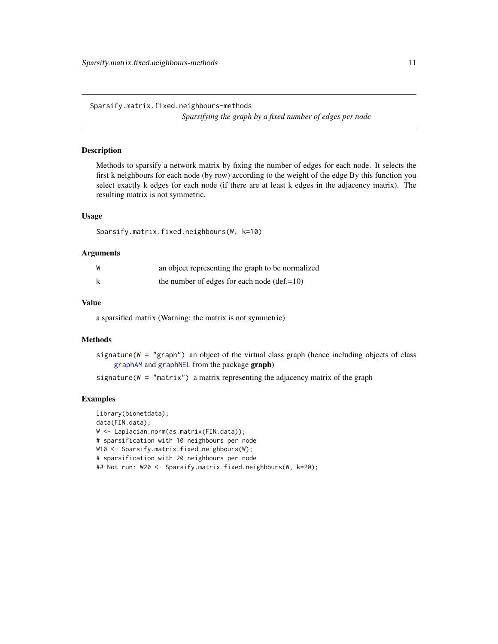<span id="page-10-0"></span>Sparsify.matrix.fixed.neighbours-methods *Sparsifying the graph by a fixed number of edges per node*

#### Description

Methods to sparsify a network matrix by fixing the number of edges for each node. It selects the first k neighbours for each node (by row) according to the weight of the edge By this function you select exactly k edges for each node (if there are at least k edges in the adjacency matrix). The resulting matrix is not symmetric.

#### Usage

Sparsify.matrix.fixed.neighbours(W, k=10)

#### **Arguments**

| W | an object representing the graph to be normalized    |
|---|------------------------------------------------------|
| k | the number of edges for each node $(\text{def.}=10)$ |

#### Value

a sparsified matrix (Warning: the matrix is not symmetric)

## Methods

signature(W = "graph") an object of the virtual class graph (hence including objects of class [graphAM](#page-0-0) and [graphNEL](#page-0-0) from the package graph)

signature( $W = "matrix"$ ) a matrix representing the adjacency matrix of the graph

```
library(bionetdata);
data(FIN.data);
W <- Laplacian.norm(as.matrix(FIN.data));
# sparsification with 10 neighbours per node
W10 <- Sparsify.matrix.fixed.neighbours(W);
# sparsification with 20 neighbours per node
## Not run: W20 <- Sparsify.matrix.fixed.neighbours(W, k=20);
```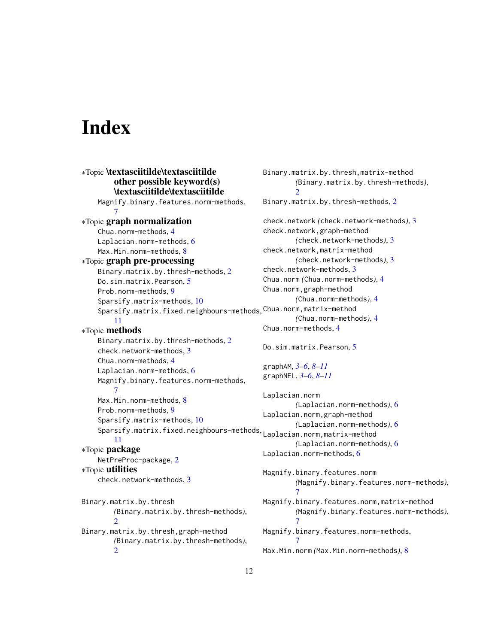# <span id="page-11-0"></span>Index

∗Topic \textasciitilde\textasciitilde

```
other possible keyword(s)
       \textasciitilde\textasciitilde
    Magnify.binary.features.norm-methods,
       7
∗Topic graph normalization
    Chua.norm-methods, 4
    Laplacian.norm-methods, 6
    8
∗Topic graph pre-processing
    Binary.matrix.by.thresh-methods, 2
    Do.sim.matrix.Pearson, 5
    Prob.norm-methods, 9
    Sparsify.matrix-methods, 10
    Sparsify.matrix.fixed.neighbours-methods,
Chua.norm,matrix-method
        11
∗Topic methods
    Binary.matrix.by.thresh-methods, 2
    check.network-methods, 3
    Chua.norm-methods, 4
    Laplacian.norm-methods, 6
    Magnify.binary.features.norm-methods,
       7
    8
    Prob.norm-methods, 9
    Sparsify.matrix-methods, 10
    Sparsify.matrix.fixed.neighbours-methods,
Laplacian.norm,matrix-method
        11
∗Topic package
    NetPreProc-package, 2
∗Topic utilities
    check.network-methods, 3
Binary.matrix.by.thresh
       (Binary.matrix.by.thresh-methods),
        \mathfrak{D}Binary.matrix.by.thresh,graph-method
       (Binary.matrix.by.thresh-methods),
        2
                                                     (Binary.matrix.by.thresh-methods),
                                                     2}Binary.matrix.by.thresh-methods, 2
                                             check.network (check.network-methods), 3
                                             check.network,graph-method
                                                     (check.network-methods), 3
                                             check.network,matrix-method
                                                     (check.network-methods), 3
                                             check.network-methods, 3
                                             Chua.norm (Chua.norm-methods), 4
                                             Chua.norm,graph-method
                                                     (Chua.norm-methods), 4
                                                     (Chua.norm-methods), 4
                                             Chua.norm-methods, 4
                                             Do.sim.matrix.Pearson, 5
                                             graphAM, 3–6, 8–11
                                             graphNEL, 3–6, 8–11
                                             Laplacian.norm
                                                     (Laplacian.norm-methods), 6
                                             Laplacian.norm,graph-method
                                                     (Laplacian.norm-methods), 6
                                                     (Laplacian.norm-methods), 6
                                             6
                                             Magnify.binary.features.norm
                                                     (Magnify.binary.features.norm-methods),
                                                      7
                                             Magnify.binary.features.norm,matrix-method
                                                     (Magnify.binary.features.norm-methods),
                                                      7
                                             Magnify.binary.features.norm-methods,
                                                      7
                                             Max.Min.norm (Max.Min.norm-methods), 8
```
Binary.matrix.by.thresh,matrix-method